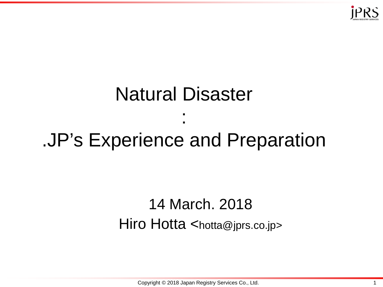

# Natural Disaster : .JP's Experience and Preparation

#### 14 March. 2018 Hiro Hotta  $\leq$ hotta@jprs.co.jp>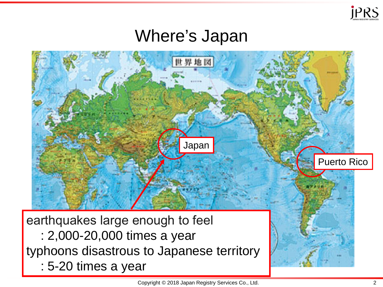

#### Where's Japan

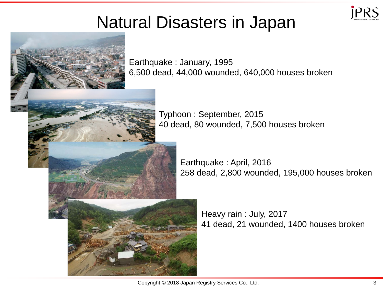

#### Natural Disasters in Japan



Earthquake : January, 1995 6,500 dead, 44,000 wounded, 640,000 houses broken

> Typhoon : September, 2015 40 dead, 80 wounded, 7,500 houses broken

> > Earthquake : April, 2016 258 dead, 2,800 wounded, 195,000 houses broken

> > > Heavy rain : July, 2017 41 dead, 21 wounded, 1400 houses broken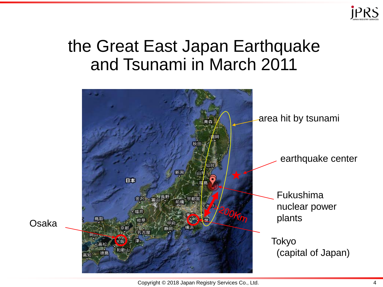

#### the Great East Japan Earthquake and Tsunami in March 2011



Copyright © 2018 Japan Registry Services Co., Ltd. 4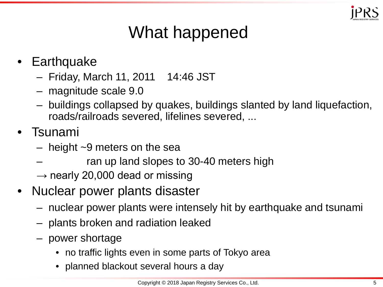

## What happened

- Earthquake
	- Friday, March 11, 2011 14:46 JST
	- magnitude scale 9.0
	- buildings collapsed by quakes, buildings slanted by land liquefaction, roads/railroads severed, lifelines severed, ...
- Tsunami
	- $-$  height  $\sim$ 9 meters on the sea
	- ran up land slopes to 30-40 meters high
	- $\rightarrow$  nearly 20,000 dead or missing
- Nuclear power plants disaster
	- nuclear power plants were intensely hit by earthquake and tsunami
	- plants broken and radiation leaked
	- power shortage
		- no traffic lights even in some parts of Tokyo area
		- planned blackout several hours a day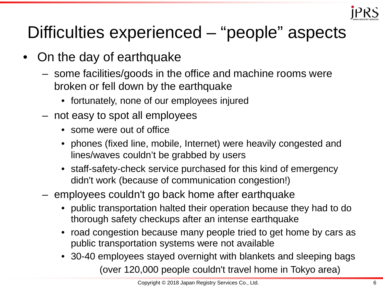

## Difficulties experienced – "people" aspects

- On the day of earthquake
	- some facilities/goods in the office and machine rooms were broken or fell down by the earthquake
		- fortunately, none of our employees injured
	- not easy to spot all employees
		- some were out of office
		- phones (fixed line, mobile, Internet) were heavily congested and lines/waves couldn't be grabbed by users
		- staff-safety-check service purchased for this kind of emergency didn't work (because of communication congestion!)
	- employees couldn't go back home after earthquake
		- public transportation halted their operation because they had to do thorough safety checkups after an intense earthquake
		- road congestion because many people tried to get home by cars as public transportation systems were not available
		- 30-40 employees stayed overnight with blankets and sleeping bags (over 120,000 people couldn't travel home in Tokyo area)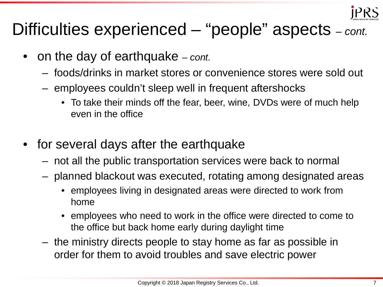

## Difficulties experienced – "people" aspects *– cont.*

- on the day of earthquake *– cont.*
	- foods/drinks in market stores or convenience stores were sold out
	- employees couldn't sleep well in frequent aftershocks
		- To take their minds off the fear, beer, wine, DVDs were of much help even in the office
- for several days after the earthquake
	- not all the public transportation services were back to normal
	- planned blackout was executed, rotating among designated areas
		- employees living in designated areas were directed to work from home
		- employees who need to work in the office were directed to come to the office but back home early during daylight time
	- the ministry directs people to stay home as far as possible in order for them to avoid troubles and save electric power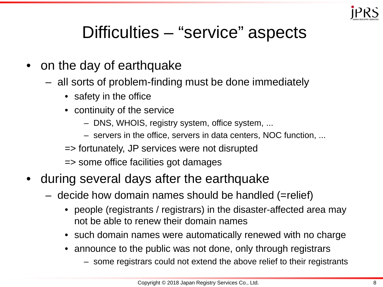

#### Difficulties – "service" aspects

- on the day of earthquake
	- all sorts of problem-finding must be done immediately
		- safety in the office
		- continuity of the service
			- DNS, WHOIS, registry system, office system, ...
			- servers in the office, servers in data centers, NOC function, ...
		- => fortunately, JP services were not disrupted
		- => some office facilities got damages
- during several days after the earthquake
	- decide how domain names should be handled (=relief)
		- people (registrants / registrars) in the disaster-affected area may not be able to renew their domain names
		- such domain names were automatically renewed with no charge
		- announce to the public was not done, only through registrars
			- some registrars could not extend the above relief to their registrants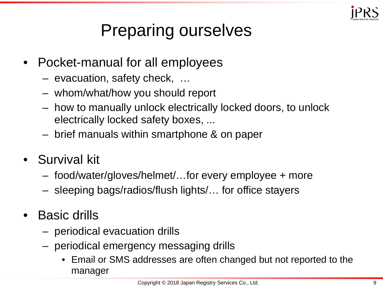

## Preparing ourselves

- Pocket-manual for all employees
	- evacuation, safety check, …
	- whom/what/how you should report
	- how to manually unlock electrically locked doors, to unlock electrically locked safety boxes, ...
	- brief manuals within smartphone & on paper
- Survival kit
	- food/water/gloves/helmet/…for every employee + more
	- sleeping bags/radios/flush lights/… for office stayers
- Basic drills
	- periodical evacuation drills
	- periodical emergency messaging drills
		- Email or SMS addresses are often changed but not reported to the manager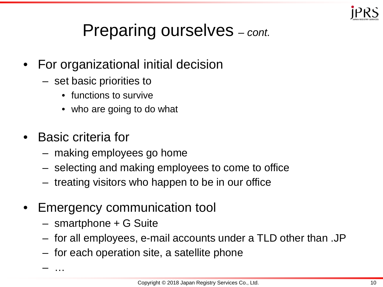

## Preparing ourselves *– cont.*

- For organizational initial decision
	- set basic priorities to
		- functions to survive
		- who are going to do what
- Basic criteria for
	- making employees go home
	- selecting and making employees to come to office
	- treating visitors who happen to be in our office
- Emergency communication tool
	- smartphone + G Suite
	- for all employees, e-mail accounts under a TLD other than .JP
	- for each operation site, a satellite phone

– …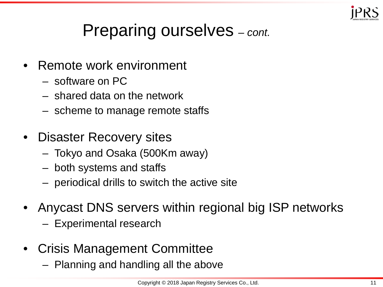

## Preparing ourselves *– cont.*

- Remote work environment
	- software on PC
	- shared data on the network
	- scheme to manage remote staffs
- Disaster Recovery sites
	- Tokyo and Osaka (500Km away)
	- both systems and staffs
	- periodical drills to switch the active site
- Anycast DNS servers within regional big ISP networks
	- Experimental research
- Crisis Management Committee
	- Planning and handling all the above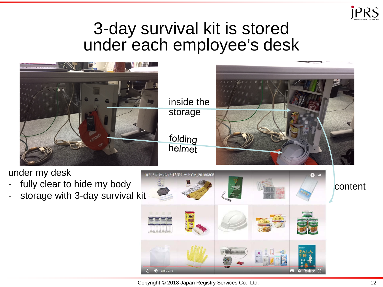

#### 3-day survival kit is stored under each employee's desk



under my desk

- fully clear to hide my body
- storage with 3-day survival kit

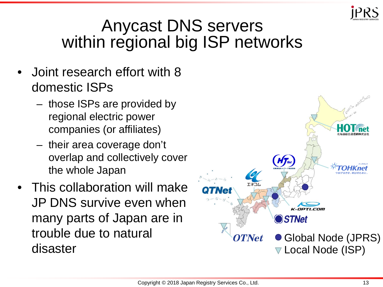

#### Anycast DNS servers within regional big ISP networks

- Joint research effort with 8 domestic ISPs
	- those ISPs are provided by regional electric power companies (or affiliates)
	- their area coverage don't overlap and collectively cover the whole Japan
- This collaboration will make JP DNS survive even when many parts of Japan are in trouble due to natural disaster